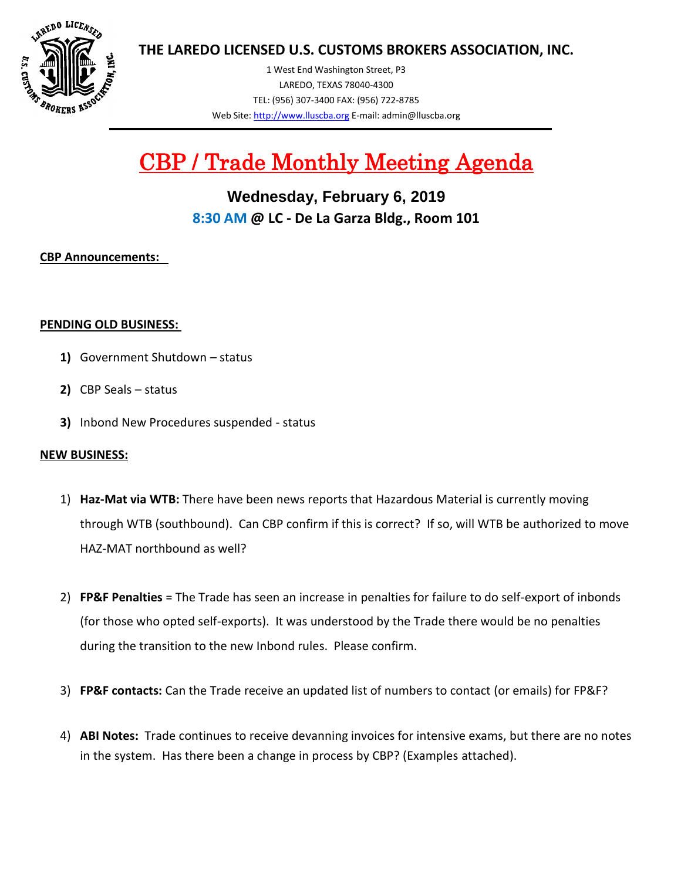

**THE LAREDO LICENSED U.S. CUSTOMS BROKERS ASSOCIATION, INC.**

1 West End Washington Street, P3 LAREDO, TEXAS 78040-4300 TEL: (956) 307-3400 FAX: (956) 722-8785 Web Site[: http://www.lluscba.org](http://www.lluscba.org/) E-mail: admin@lluscba.org

# CBP / Trade Monthly Meeting Agenda

**Wednesday, February 6, 2019 8:30 AM @ LC - De La Garza Bldg., Room 101**

## **CBP Announcements:**

## **PENDING OLD BUSINESS:**

- **1)** Government Shutdown status
- **2)** CBP Seals status
- **3)** Inbond New Procedures suspended status

## **NEW BUSINESS:**

- 1) **Haz-Mat via WTB:** There have been news reports that Hazardous Material is currently moving through WTB (southbound). Can CBP confirm if this is correct? If so, will WTB be authorized to move HAZ-MAT northbound as well?
- 2) **FP&F Penalties** = The Trade has seen an increase in penalties for failure to do self-export of inbonds (for those who opted self-exports). It was understood by the Trade there would be no penalties during the transition to the new Inbond rules. Please confirm.
- 3) **FP&F contacts:** Can the Trade receive an updated list of numbers to contact (or emails) for FP&F?
- 4) **ABI Notes:** Trade continues to receive devanning invoices for intensive exams, but there are no notes in the system. Has there been a change in process by CBP? (Examples attached).